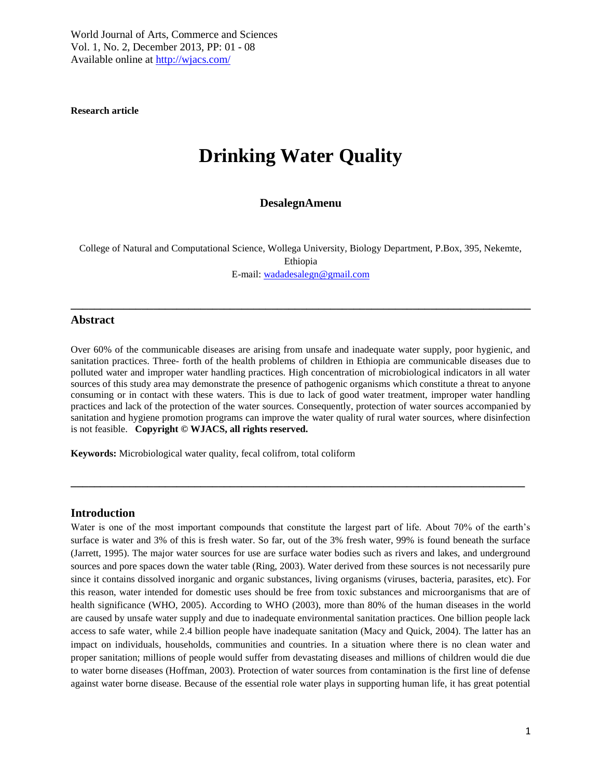**Research article** 

# **Drinking Water Quality**

# **DesalegnAmenu**

College of Natural and Computational Science, Wollega University, Biology Department, P.Box, 395, Nekemte, Ethiopia

E-mail: [wadadesalegn@gmail.com](mailto:wadadesalegn@gmail.com)

**\_\_\_\_\_\_\_\_\_\_\_\_\_\_\_\_\_\_\_\_\_\_\_\_\_\_\_\_\_\_\_\_\_\_\_\_\_\_\_\_\_\_\_\_\_\_\_\_\_\_\_\_\_\_\_\_\_\_\_\_\_\_\_\_\_\_\_\_\_\_\_\_\_\_\_\_\_\_**

#### **Abstract**

Over 60% of the communicable diseases are arising from unsafe and inadequate water supply, poor hygienic, and sanitation practices. Three- forth of the health problems of children in Ethiopia are communicable diseases due to polluted water and improper water handling practices. High concentration of microbiological indicators in all water sources of this study area may demonstrate the presence of pathogenic organisms which constitute a threat to anyone consuming or in contact with these waters. This is due to lack of good water treatment, improper water handling practices and lack of the protection of the water sources. Consequently, protection of water sources accompanied by sanitation and hygiene promotion programs can improve the water quality of rural water sources, where disinfection is not feasible. **Copyright © WJACS, all rights reserved.** 

**\_\_\_\_\_\_\_\_\_\_\_\_\_\_\_\_\_\_\_\_\_\_\_\_\_\_\_\_\_\_\_\_\_\_\_\_\_\_\_\_\_\_\_\_\_\_\_\_\_\_\_\_\_\_\_\_\_\_\_\_\_\_\_\_\_\_\_\_\_\_\_\_\_\_\_\_\_**

**Keywords:** Microbiological water quality, fecal colifrom, total coliform

#### **Introduction**

Water is one of the most important compounds that constitute the largest part of life. About 70% of the earth's surface is water and 3% of this is fresh water. So far, out of the 3% fresh water, 99% is found beneath the surface (Jarrett, 1995). The major water sources for use are surface water bodies such as rivers and lakes, and underground sources and pore spaces down the water table (Ring, 2003). Water derived from these sources is not necessarily pure since it contains dissolved inorganic and organic substances, living organisms (viruses, bacteria, parasites, etc). For this reason, water intended for domestic uses should be free from toxic substances and microorganisms that are of health significance (WHO, 2005). According to WHO (2003), more than 80% of the human diseases in the world are caused by unsafe water supply and due to inadequate environmental sanitation practices. One billion people lack access to safe water, while 2.4 billion people have inadequate sanitation (Macy and Quick, 2004). The latter has an impact on individuals, households, communities and countries. In a situation where there is no clean water and proper sanitation; millions of people would suffer from devastating diseases and millions of children would die due to water borne diseases (Hoffman, 2003). Protection of water sources from contamination is the first line of defense against water borne disease. Because of the essential role water plays in supporting human life, it has great potential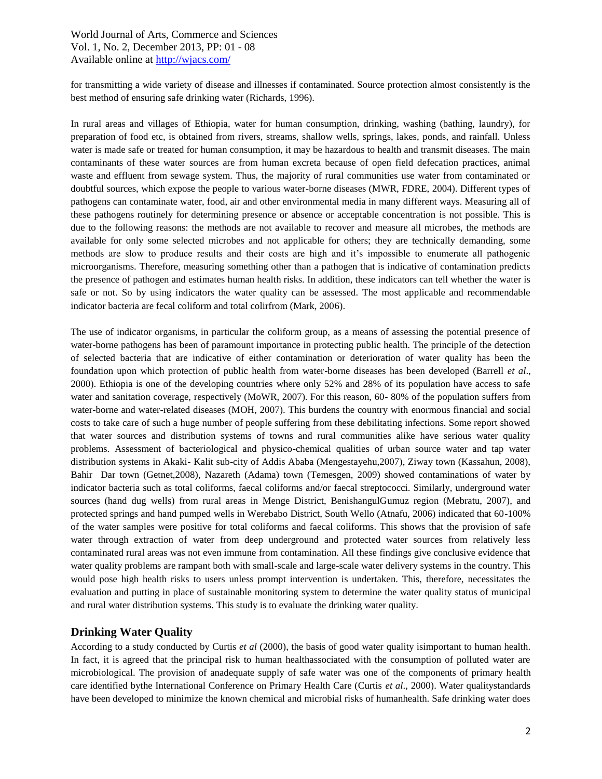for transmitting a wide variety of disease and illnesses if contaminated. Source protection almost consistently is the best method of ensuring safe drinking water (Richards, 1996).

In rural areas and villages of Ethiopia, water for human consumption, drinking, washing (bathing, laundry), for preparation of food etc, is obtained from rivers, streams, shallow wells, springs, lakes, ponds, and rainfall. Unless water is made safe or treated for human consumption, it may be hazardous to health and transmit diseases. The main contaminants of these water sources are from human excreta because of open field defecation practices, animal waste and effluent from sewage system. Thus, the majority of rural communities use water from contaminated or doubtful sources, which expose the people to various water-borne diseases (MWR, FDRE, 2004). Different types of pathogens can contaminate water, food, air and other environmental media in many different ways. Measuring all of these pathogens routinely for determining presence or absence or acceptable concentration is not possible. This is due to the following reasons: the methods are not available to recover and measure all microbes, the methods are available for only some selected microbes and not applicable for others; they are technically demanding, some methods are slow to produce results and their costs are high and it's impossible to enumerate all pathogenic microorganisms. Therefore, measuring something other than a pathogen that is indicative of contamination predicts the presence of pathogen and estimates human health risks. In addition, these indicators can tell whether the water is safe or not. So by using indicators the water quality can be assessed. The most applicable and recommendable indicator bacteria are fecal coliform and total colirfrom (Mark, 2006).

The use of indicator organisms, in particular the coliform group, as a means of assessing the potential presence of water-borne pathogens has been of paramount importance in protecting public health. The principle of the detection of selected bacteria that are indicative of either contamination or deterioration of water quality has been the foundation upon which protection of public health from water-borne diseases has been developed (Barrell *et al*., 2000). Ethiopia is one of the developing countries where only 52% and 28% of its population have access to safe water and sanitation coverage, respectively (MoWR, 2007). For this reason, 60- 80% of the population suffers from water-borne and water-related diseases (MOH, 2007). This burdens the country with enormous financial and social costs to take care of such a huge number of people suffering from these debilitating infections. Some report showed that water sources and distribution systems of towns and rural communities alike have serious water quality problems. Assessment of bacteriological and physico-chemical qualities of urban source water and tap water distribution systems in Akaki- Kalit sub-city of Addis Ababa (Mengestayehu,2007), Ziway town (Kassahun, 2008), Bahir Dar town (Getnet,2008), Nazareth (Adama) town (Temesgen, 2009) showed contaminations of water by indicator bacteria such as total coliforms, faecal coliforms and/or faecal streptococci. Similarly, underground water sources (hand dug wells) from rural areas in Menge District, BenishangulGumuz region (Mebratu, 2007), and protected springs and hand pumped wells in Werebabo District, South Wello (Atnafu, 2006) indicated that 60-100% of the water samples were positive for total coliforms and faecal coliforms. This shows that the provision of safe water through extraction of water from deep underground and protected water sources from relatively less contaminated rural areas was not even immune from contamination. All these findings give conclusive evidence that water quality problems are rampant both with small-scale and large-scale water delivery systems in the country. This would pose high health risks to users unless prompt intervention is undertaken. This, therefore, necessitates the evaluation and putting in place of sustainable monitoring system to determine the water quality status of municipal and rural water distribution systems. This study is to evaluate the drinking water quality.

# **Drinking Water Quality**

According to a study conducted by Curtis *et al* (2000), the basis of good water quality isimportant to human health. In fact, it is agreed that the principal risk to human healthassociated with the consumption of polluted water are microbiological. The provision of anadequate supply of safe water was one of the components of primary health care identified bythe International Conference on Primary Health Care (Curtis *et al*., 2000). Water qualitystandards have been developed to minimize the known chemical and microbial risks of humanhealth. Safe drinking water does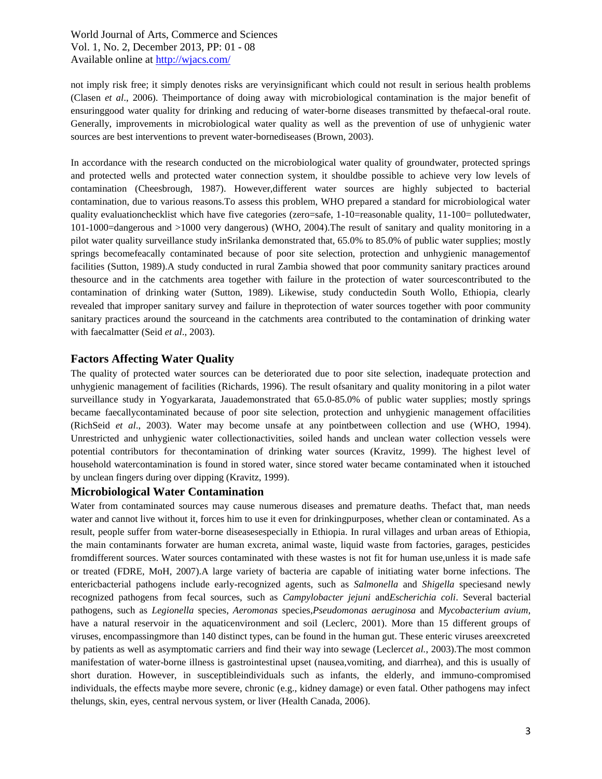not imply risk free; it simply denotes risks are veryinsignificant which could not result in serious health problems (Clasen *et al*., 2006). Theimportance of doing away with microbiological contamination is the major benefit of ensuringgood water quality for drinking and reducing of water-borne diseases transmitted by thefaecal-oral route. Generally, improvements in microbiological water quality as well as the prevention of use of unhygienic water sources are best interventions to prevent water-bornediseases (Brown, 2003).

In accordance with the research conducted on the microbiological water quality of groundwater, protected springs and protected wells and protected water connection system, it shouldbe possible to achieve very low levels of contamination (Cheesbrough, 1987). However,different water sources are highly subjected to bacterial contamination, due to various reasons.To assess this problem, WHO prepared a standard for microbiological water quality evaluationchecklist which have five categories (zero=safe, 1-10=reasonable quality, 11-100= pollutedwater, 101-1000=dangerous and >1000 very dangerous) (WHO, 2004).The result of sanitary and quality monitoring in a pilot water quality surveillance study inSrilanka demonstrated that, 65.0% to 85.0% of public water supplies; mostly springs becomefeacally contaminated because of poor site selection, protection and unhygienic managementof facilities (Sutton, 1989).A study conducted in rural Zambia showed that poor community sanitary practices around thesource and in the catchments area together with failure in the protection of water sourcescontributed to the contamination of drinking water (Sutton, 1989). Likewise, study conductedin South Wollo, Ethiopia, clearly revealed that improper sanitary survey and failure in theprotection of water sources together with poor community sanitary practices around the sourceand in the catchments area contributed to the contamination of drinking water with faecalmatter (Seid *et al*., 2003).

# **Factors Affecting Water Quality**

The quality of protected water sources can be deteriorated due to poor site selection, inadequate protection and unhygienic management of facilities (Richards, 1996). The result ofsanitary and quality monitoring in a pilot water surveillance study in Yogyarkarata, Jauademonstrated that 65.0-85.0% of public water supplies; mostly springs became faecallycontaminated because of poor site selection, protection and unhygienic management offacilities (RichSeid *et al*., 2003). Water may become unsafe at any pointbetween collection and use (WHO, 1994). Unrestricted and unhygienic water collectionactivities, soiled hands and unclean water collection vessels were potential contributors for thecontamination of drinking water sources (Kravitz, 1999). The highest level of household watercontamination is found in stored water, since stored water became contaminated when it istouched by unclean fingers during over dipping (Kravitz, 1999).

## **Microbiological Water Contamination**

Water from contaminated sources may cause numerous diseases and premature deaths. Thefact that, man needs water and cannot live without it, forces him to use it even for drinkingpurposes, whether clean or contaminated. As a result, people suffer from water-borne diseasesespecially in Ethiopia. In rural villages and urban areas of Ethiopia, the main contaminants forwater are human excreta, animal waste, liquid waste from factories, garages, pesticides fromdifferent sources. Water sources contaminated with these wastes is not fit for human use,unless it is made safe or treated (FDRE, MoH, 2007).A large variety of bacteria are capable of initiating water borne infections. The entericbacterial pathogens include early-recognized agents, such as *Salmonella* and *Shigella* speciesand newly recognized pathogens from fecal sources, such as *Campylobacter jejuni* and*Escherichia coli*. Several bacterial pathogens, such as *Legionella* species, *Aeromonas* species,*Pseudomonas aeruginosa* and *Mycobacterium avium*, have a natural reservoir in the aquaticenvironment and soil (Leclerc, 2001). More than 15 different groups of viruses, encompassingmore than 140 distinct types, can be found in the human gut. These enteric viruses areexcreted by patients as well as asymptomatic carriers and find their way into sewage (Leclerc*et al.*, 2003).The most common manifestation of water-borne illness is gastrointestinal upset (nausea,vomiting, and diarrhea), and this is usually of short duration. However, in susceptibleindividuals such as infants, the elderly, and immuno-compromised individuals, the effects maybe more severe, chronic (e.g., kidney damage) or even fatal. Other pathogens may infect thelungs, skin, eyes, central nervous system, or liver (Health Canada, 2006).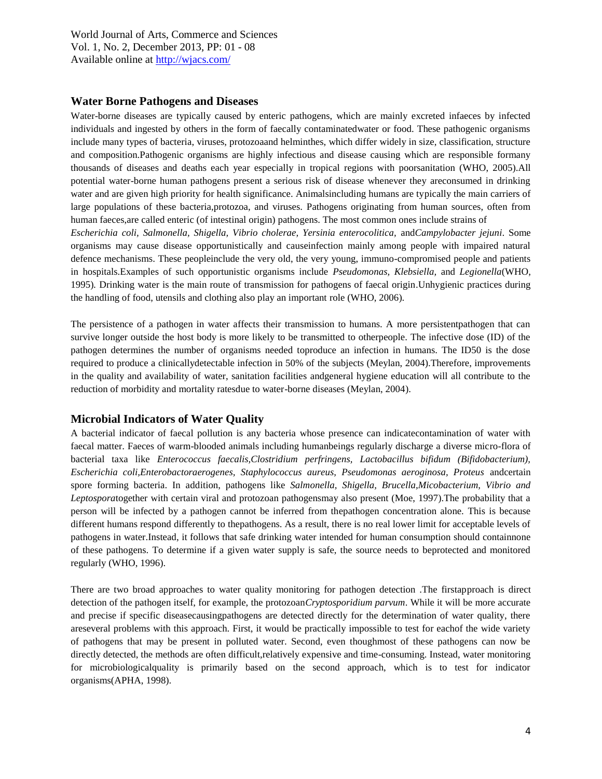### **Water Borne Pathogens and Diseases**

Water-borne diseases are typically caused by enteric pathogens, which are mainly excreted infaeces by infected individuals and ingested by others in the form of faecally contaminatedwater or food. These pathogenic organisms include many types of bacteria, viruses, protozoaand helminthes, which differ widely in size, classification, structure and composition.Pathogenic organisms are highly infectious and disease causing which are responsible formany thousands of diseases and deaths each year especially in tropical regions with poorsanitation (WHO, 2005).All potential water-borne human pathogens present a serious risk of disease whenever they areconsumed in drinking water and are given high priority for health significance. Animalsincluding humans are typically the main carriers of large populations of these bacteria,protozoa, and viruses. Pathogens originating from human sources, often from human faeces,are called enteric (of intestinal origin) pathogens. The most common ones include strains of

*Escherichia coli, Salmonella, Shigella, Vibrio cholerae, Yersinia enterocolitica,* and*Campylobacter jejuni*. Some organisms may cause disease opportunistically and causeinfection mainly among people with impaired natural defence mechanisms. These peopleinclude the very old, the very young, immuno-compromised people and patients in hospitals.Examples of such opportunistic organisms include *Pseudomonas, Klebsiella,* and *Legionella*(WHO, 1995)*.* Drinking water is the main route of transmission for pathogens of faecal origin.Unhygienic practices during the handling of food, utensils and clothing also play an important role (WHO, 2006).

The persistence of a pathogen in water affects their transmission to humans. A more persistentpathogen that can survive longer outside the host body is more likely to be transmitted to otherpeople. The infective dose (ID) of the pathogen determines the number of organisms needed toproduce an infection in humans. The ID50 is the dose required to produce a clinicallydetectable infection in 50% of the subjects (Meylan, 2004).Therefore, improvements in the quality and availability of water, sanitation facilities andgeneral hygiene education will all contribute to the reduction of morbidity and mortality ratesdue to water-borne diseases (Meylan, 2004).

# **Microbial Indicators of Water Quality**

A bacterial indicator of faecal pollution is any bacteria whose presence can indicatecontamination of water with faecal matter. Faeces of warm-blooded animals including humanbeings regularly discharge a diverse micro-flora of bacterial taxa like *Enterococcus faecalis,Clostridium perfringens, Lactobacillus bifidum (Bifidobacterium), Escherichia coli,Enterobactoraerogenes, Staphylococcus aureus, Pseudomonas aeroginosa, Proteus* andcertain spore forming bacteria. In addition, pathogens like *Salmonella, Shigella, Brucella,Micobacterium, Vibrio and Leptospora*together with certain viral and protozoan pathogensmay also present (Moe, 1997).The probability that a person will be infected by a pathogen cannot be inferred from thepathogen concentration alone. This is because different humans respond differently to thepathogens. As a result, there is no real lower limit for acceptable levels of pathogens in water.Instead, it follows that safe drinking water intended for human consumption should containnone of these pathogens. To determine if a given water supply is safe, the source needs to beprotected and monitored regularly (WHO, 1996).

There are two broad approaches to water quality monitoring for pathogen detection .The firstapproach is direct detection of the pathogen itself, for example, the protozoan*Cryptosporidium parvum*. While it will be more accurate and precise if specific diseasecausingpathogens are detected directly for the determination of water quality, there areseveral problems with this approach. First, it would be practically impossible to test for eachof the wide variety of pathogens that may be present in polluted water. Second, even thoughmost of these pathogens can now be directly detected, the methods are often difficult,relatively expensive and time-consuming. Instead, water monitoring for microbiologicalquality is primarily based on the second approach, which is to test for indicator organisms(APHA, 1998).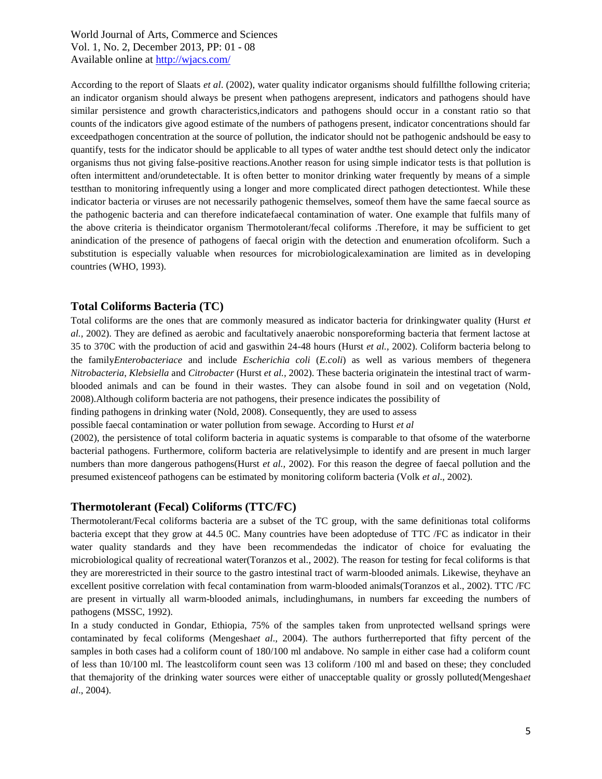According to the report of Slaats *et al*. (2002), water quality indicator organisms should fulfillthe following criteria; an indicator organism should always be present when pathogens arepresent, indicators and pathogens should have similar persistence and growth characteristics,indicators and pathogens should occur in a constant ratio so that counts of the indicators give agood estimate of the numbers of pathogens present, indicator concentrations should far exceedpathogen concentration at the source of pollution, the indicator should not be pathogenic andshould be easy to quantify, tests for the indicator should be applicable to all types of water andthe test should detect only the indicator organisms thus not giving false-positive reactions.Another reason for using simple indicator tests is that pollution is often intermittent and/orundetectable. It is often better to monitor drinking water frequently by means of a simple testthan to monitoring infrequently using a longer and more complicated direct pathogen detectiontest. While these indicator bacteria or viruses are not necessarily pathogenic themselves, someof them have the same faecal source as the pathogenic bacteria and can therefore indicatefaecal contamination of water. One example that fulfils many of the above criteria is theindicator organism Thermotolerant/fecal coliforms .Therefore, it may be sufficient to get anindication of the presence of pathogens of faecal origin with the detection and enumeration ofcoliform. Such a substitution is especially valuable when resources for microbiologicalexamination are limited as in developing countries (WHO, 1993).

## **Total Coliforms Bacteria (TC)**

Total coliforms are the ones that are commonly measured as indicator bacteria for drinkingwater quality (Hurst *et al.,* 2002). They are defined as aerobic and facultatively anaerobic nonsporeforming bacteria that ferment lactose at 35 to 370C with the production of acid and gaswithin 24-48 hours (Hurst *et al.,* 2002). Coliform bacteria belong to the family*Enterobacteriace* and include *Escherichia coli* (*E.coli*) as well as various members of thegenera *Nitrobacteria*, *Klebsiella* and *Citrobacter* (Hurst *et al.,* 2002). These bacteria originatein the intestinal tract of warmblooded animals and can be found in their wastes. They can alsobe found in soil and on vegetation (Nold, 2008).Although coliform bacteria are not pathogens, their presence indicates the possibility of

finding pathogens in drinking water (Nold, 2008). Consequently, they are used to assess

possible faecal contamination or water pollution from sewage. According to Hurst *et al*

(2002), the persistence of total coliform bacteria in aquatic systems is comparable to that ofsome of the waterborne bacterial pathogens. Furthermore, coliform bacteria are relativelysimple to identify and are present in much larger numbers than more dangerous pathogens(Hurst *et al.,* 2002). For this reason the degree of faecal pollution and the presumed existenceof pathogens can be estimated by monitoring coliform bacteria (Volk *et al*., 2002).

### **Thermotolerant (Fecal) Coliforms (TTC/FC)**

Thermotolerant/Fecal coliforms bacteria are a subset of the TC group, with the same definitionas total coliforms bacteria except that they grow at 44.5 0C. Many countries have been adopteduse of TTC /FC as indicator in their water quality standards and they have been recommendedas the indicator of choice for evaluating the microbiological quality of recreational water(Toranzos et al., 2002). The reason for testing for fecal coliforms is that they are morerestricted in their source to the gastro intestinal tract of warm-blooded animals. Likewise, theyhave an excellent positive correlation with fecal contamination from warm-blooded animals(Toranzos et al., 2002). TTC /FC are present in virtually all warm-blooded animals, includinghumans, in numbers far exceeding the numbers of pathogens (MSSC, 1992).

In a study conducted in Gondar, Ethiopia, 75% of the samples taken from unprotected wellsand springs were contaminated by fecal coliforms (Mengesha*et al*., 2004). The authors furtherreported that fifty percent of the samples in both cases had a coliform count of 180/100 ml andabove. No sample in either case had a coliform count of less than 10/100 ml. The leastcoliform count seen was 13 coliform /100 ml and based on these; they concluded that themajority of the drinking water sources were either of unacceptable quality or grossly polluted(Mengesha*et al*., 2004).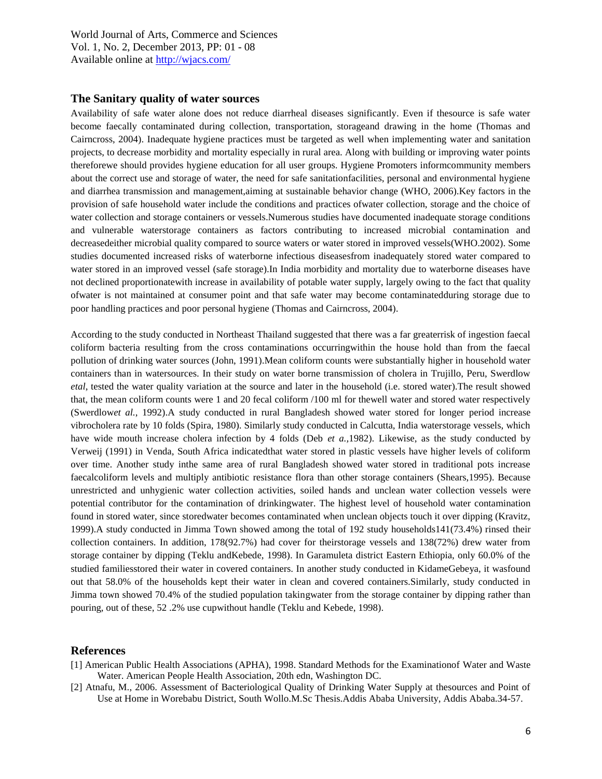#### **The Sanitary quality of water sources**

Availability of safe water alone does not reduce diarrheal diseases significantly. Even if thesource is safe water become faecally contaminated during collection, transportation, storageand drawing in the home (Thomas and Cairncross, 2004). Inadequate hygiene practices must be targeted as well when implementing water and sanitation projects, to decrease morbidity and mortality especially in rural area. Along with building or improving water points thereforewe should provides hygiene education for all user groups. Hygiene Promoters informcommunity members about the correct use and storage of water, the need for safe sanitationfacilities, personal and environmental hygiene and diarrhea transmission and management,aiming at sustainable behavior change (WHO, 2006).Key factors in the provision of safe household water include the conditions and practices ofwater collection, storage and the choice of water collection and storage containers or vessels.Numerous studies have documented inadequate storage conditions and vulnerable waterstorage containers as factors contributing to increased microbial contamination and decreasedeither microbial quality compared to source waters or water stored in improved vessels(WHO.2002). Some studies documented increased risks of waterborne infectious diseasesfrom inadequately stored water compared to water stored in an improved vessel (safe storage).In India morbidity and mortality due to waterborne diseases have not declined proportionatewith increase in availability of potable water supply, largely owing to the fact that quality ofwater is not maintained at consumer point and that safe water may become contaminatedduring storage due to poor handling practices and poor personal hygiene (Thomas and Cairncross, 2004).

According to the study conducted in Northeast Thailand suggested that there was a far greaterrisk of ingestion faecal coliform bacteria resulting from the cross contaminations occurringwithin the house hold than from the faecal pollution of drinking water sources (John, 1991).Mean coliform counts were substantially higher in household water containers than in watersources. In their study on water borne transmission of cholera in Trujillo, Peru, Swerdlow *etal*, tested the water quality variation at the source and later in the household (i.e. stored water).The result showed that, the mean coliform counts were 1 and 20 fecal coliform /100 ml for thewell water and stored water respectively (Swerdlow*et al.*, 1992).A study conducted in rural Bangladesh showed water stored for longer period increase vibrocholera rate by 10 folds (Spira, 1980). Similarly study conducted in Calcutta, India waterstorage vessels, which have wide mouth increase cholera infection by 4 folds (Deb *et a.,*1982). Likewise, as the study conducted by Verweij (1991) in Venda, South Africa indicatedthat water stored in plastic vessels have higher levels of coliform over time. Another study inthe same area of rural Bangladesh showed water stored in traditional pots increase faecalcoliform levels and multiply antibiotic resistance flora than other storage containers (Shears,1995). Because unrestricted and unhygienic water collection activities, soiled hands and unclean water collection vessels were potential contributor for the contamination of drinkingwater. The highest level of household water contamination found in stored water, since storedwater becomes contaminated when unclean objects touch it over dipping (Kravitz, 1999).A study conducted in Jimma Town showed among the total of 192 study households141(73.4%) rinsed their collection containers. In addition, 178(92.7%) had cover for theirstorage vessels and 138(72%) drew water from storage container by dipping (Teklu andKebede, 1998). In Garamuleta district Eastern Ethiopia, only 60.0% of the studied familiesstored their water in covered containers. In another study conducted in KidameGebeya, it wasfound out that 58.0% of the households kept their water in clean and covered containers.Similarly, study conducted in Jimma town showed 70.4% of the studied population takingwater from the storage container by dipping rather than pouring, out of these, 52 .2% use cupwithout handle (Teklu and Kebede, 1998).

### **References**

- [1] American Public Health Associations (APHA), 1998. Standard Methods for the Examinationof Water and Waste Water. American People Health Association, 20th edn, Washington DC.
- [2] Atnafu, M., 2006. Assessment of Bacteriological Quality of Drinking Water Supply at thesources and Point of Use at Home in Worebabu District, South Wollo.M.Sc Thesis.Addis Ababa University, Addis Ababa.34-57.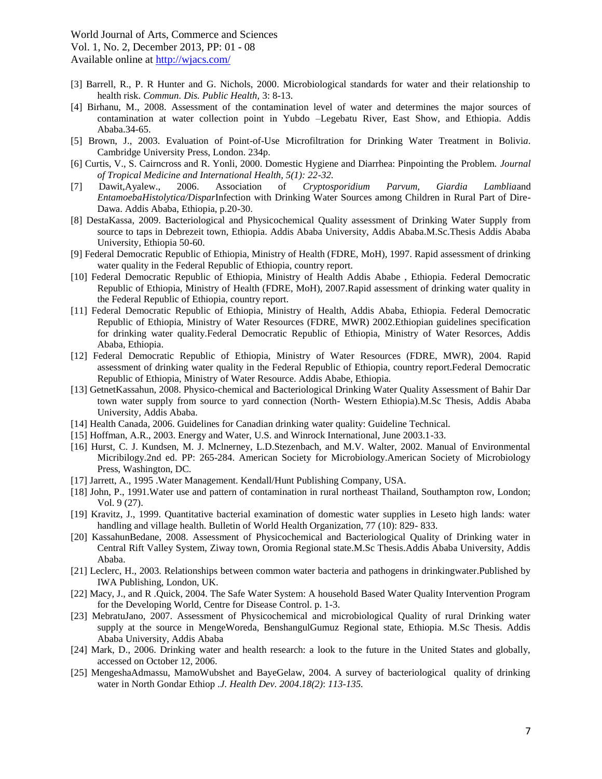- [3] Barrell, R., P. R Hunter and G. Nichols, 2000. Microbiological standards for water and their relationship to health risk. *Commun. Dis. Public Health,* 3: 8-13.
- [4] Birhanu, M., 2008. Assessment of the contamination level of water and determines the major sources of contamination at water collection point in Yubdo –Legebatu River, East Show, and Ethiopia. Addis Ababa.34-65.
- [5] Brown, J., 2003. Evaluation of Point-of-Use Microfiltration for Drinking Water Treatment in Bolivi*a*. Cambridge University Press, London. 234p.
- [6] Curtis, V., S. Cairncross and R. Yonli, 2000. Domestic Hygiene and Diarrhea: Pinpointing the Problem. *Journal of Tropical Medicine and International Health, 5(1): 22-32.*
- [7] Dawit,Ayalew., 2006. Association of *Cryptosporidium Parvum, Giardia Lamblia*and *EntamoebaHistolytica/Dispar*Infection with Drinking Water Sources among Children in Rural Part of Dire-Dawa. Addis Ababa, Ethiopia, p.20-30.
- [8] DestaKassa, 2009. Bacteriological and Physicochemical Quality assessment of Drinking Water Supply from source to taps in Debrezeit town, Ethiopia. Addis Ababa University, Addis Ababa.M.Sc.Thesis Addis Ababa University, Ethiopia 50-60.
- [9] Federal Democratic Republic of Ethiopia, Ministry of Health (FDRE, MoH), 1997. Rapid assessment of drinking water quality in the Federal Republic of Ethiopia, country report.
- [10] Federal Democratic Republic of Ethiopia, Ministry of Health Addis Ababe , Ethiopia. Federal Democratic Republic of Ethiopia, Ministry of Health (FDRE, MoH), 2007.Rapid assessment of drinking water quality in the Federal Republic of Ethiopia, country report.
- [11] Federal Democratic Republic of Ethiopia, Ministry of Health, Addis Ababa, Ethiopia. Federal Democratic Republic of Ethiopia, Ministry of Water Resources (FDRE, MWR) 2002.Ethiopian guidelines specification for drinking water quality.Federal Democratic Republic of Ethiopia, Ministry of Water Resorces, Addis Ababa, Ethiopia.
- [12] Federal Democratic Republic of Ethiopia, Ministry of Water Resources (FDRE, MWR), 2004. Rapid assessment of drinking water quality in the Federal Republic of Ethiopia, country report.Federal Democratic Republic of Ethiopia, Ministry of Water Resource. Addis Ababe, Ethiopia.
- [13] GetnetKassahun, 2008. Physico-chemical and Bacteriological Drinking Water Quality Assessment of Bahir Dar town water supply from source to yard connection (North- Western Ethiopia).M.Sc Thesis, Addis Ababa University, Addis Ababa.
- [14] Health Canada, 2006. Guidelines for Canadian drinking water quality: Guideline Technical.
- [15] Hoffman, A.R., 2003. Energy and Water, U.S. and Winrock International, June 2003.1-33.
- [16] Hurst, C. J. Kundsen, M. J. Mclnerney, L.D.Stezenbach, and M.V. Walter, 2002. Manual of Environmental Micribilogy.2nd ed. PP: 265-284. American Society for Microbiology.American Society of Microbiology Press, Washington, DC.
- [17] Jarrett, A., 1995 .Water Management. Kendall/Hunt Publishing Company, USA.
- [18] John, P., 1991.Water use and pattern of contamination in rural northeast Thailand, Southampton row, London; Vol. 9 (27).
- [19] Kravitz, J., 1999. Quantitative bacterial examination of domestic water supplies in Leseto high lands: water handling and village health. Bulletin of World Health Organization, 77 (10): 829- 833.
- [20] KassahunBedane, 2008. Assessment of Physicochemical and Bacteriological Quality of Drinking water in Central Rift Valley System, Ziway town, Oromia Regional state.M.Sc Thesis.Addis Ababa University, Addis Ababa.
- [21] Leclerc, H., 2003. Relationships between common water bacteria and pathogens in drinkingwater.Published by IWA Publishing, London, UK.
- [22] Macy, J., and R .Quick, 2004. The Safe Water System: A household Based Water Quality Intervention Program for the Developing World, Centre for Disease Control. p. 1-3.
- [23] MebratuJano, 2007. Assessment of Physicochemical and microbiological Quality of rural Drinking water supply at the source in MengeWoreda, BenshangulGumuz Regional state, Ethiopia. M.Sc Thesis. Addis Ababa University, Addis Ababa
- [24] Mark, D., 2006. Drinking water and health research: a look to the future in the United States and globally, accessed on October 12, 2006.
- [25] MengeshaAdmassu, MamoWubshet and BayeGelaw, 2004. A survey of bacteriological quality of drinking water in North Gondar Ethiop *.J. Health Dev. 2004*.*18(2)*: *113-135.*